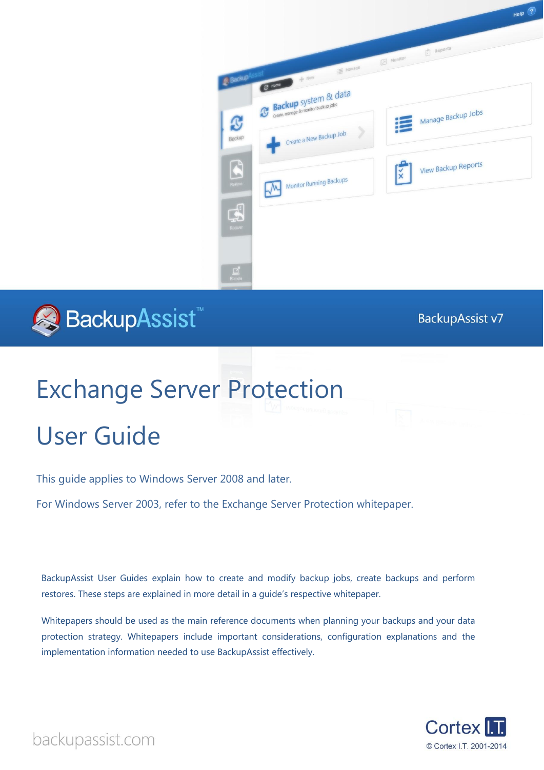

# **BackupAssist**™

**BackupAssist v7** 

# Exchange Server Protection

# User Guide

This guide applies to Windows Server 2008 and later.

For Windows Server 2003, refer to the Exchange Server Protection whitepaper.

BackupAssist User Guides explain how to create and modify backup jobs, create backups and perform restores. These steps are explained in more detail in a guide's respective whitepaper.

Whitepapers should be used as the main reference documents when planning your backups and your data protection strategy. Whitepapers include important considerations, configuration explanations and the implementation information needed to use BackupAssist effectively.



backupassist.com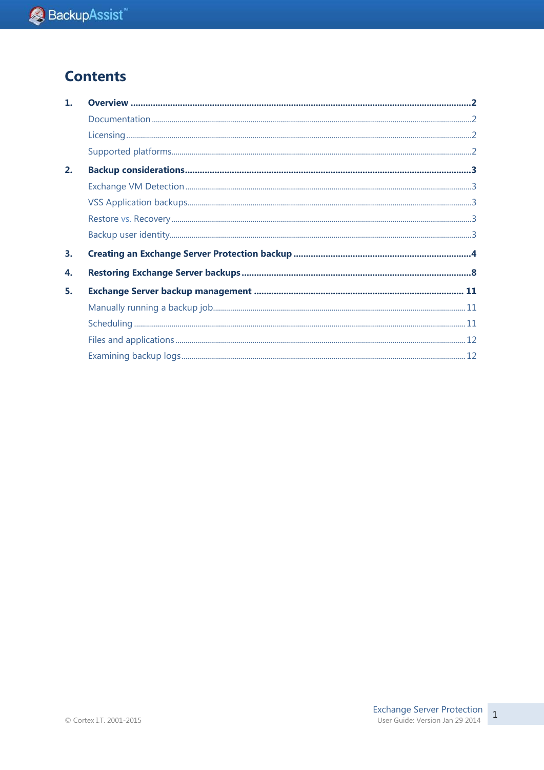# **Contents**

| 1  |  |
|----|--|
|    |  |
|    |  |
|    |  |
| 2. |  |
|    |  |
|    |  |
|    |  |
|    |  |
| 3. |  |
| 4. |  |
| 5. |  |
|    |  |
|    |  |
|    |  |
|    |  |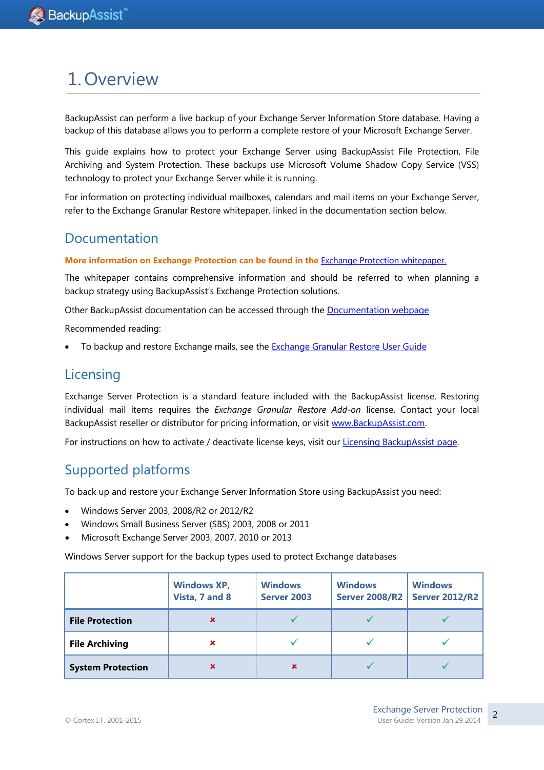# 1.Overview

BackupAssist can perform a live backup of your Exchange Server Information Store database. Having a backup of this database allows you to perform a complete restore of your Microsoft Exchange Server.

This guide explains how to protect your Exchange Server using BackupAssist File Protection, File Archiving and System Protection. These backups use Microsoft Volume Shadow Copy Service (VSS) technology to protect your Exchange Server while it is running.

For information on protecting individual mailboxes, calendars and mail items on your Exchange Server, refer to the Exchange Granular Restore whitepaper, linked in the documentation section below.

### Documentation

**More information on Exchange Protection can be found in the** [Exchange Protection whitepaper.](http://www.backupassist.com/downloads/whitepapers/exchange_protection_whitepaper.pdf)

The whitepaper contains comprehensive information and should be referred to when planning a backup strategy using BackupAssist's Exchange Protection solutions.

Other BackupAssist documentation can be accessed through the [Documentation webpage](http://www.backupassist.com/education/#backupassist_v7)

Recommended reading:

To backup and restore Exchange mails, see the [Exchange Granular Restore User Guide](http://www.backupassist.com/downloads/user_guides/exchange_granular_restore_userguide.pdf)

### **Licensing**

Exchange Server Protection is a standard feature included with the BackupAssist license. Restoring individual mail items requires the *Exchange Granular Restore Add-on* license. Contact your local BackupAssist reseller or distributor for pricing information, or visit [www.BackupAssist.com.](http://www.backupassist.com/)

For instructions on how to activate / deactivate license keys, visit our [Licensing BackupAssist page.](http://www.backupassist.com/education/whitepapers/licensing_backupassist.html)

## Supported platforms

To back up and restore your Exchange Server Information Store using BackupAssist you need:

- Windows Server 2003, 2008/R2 or 2012/R2
- Windows Small Business Server (SBS) 2003, 2008 or 2011
- Microsoft Exchange Server 2003, 2007, 2010 or 2013

Windows Server support for the backup types used to protect Exchange databases

|                          | <b>Windows XP,</b><br>Vista, 7 and 8 | <b>Windows</b><br>Server 2003 | <b>Windows</b><br><b>Server 2008/R2</b> | <b>Windows</b><br><b>Server 2012/R2</b> |
|--------------------------|--------------------------------------|-------------------------------|-----------------------------------------|-----------------------------------------|
| <b>File Protection</b>   | ×                                    |                               |                                         |                                         |
| <b>File Archiving</b>    | ×                                    |                               |                                         |                                         |
| <b>System Protection</b> | ×                                    | ×                             |                                         |                                         |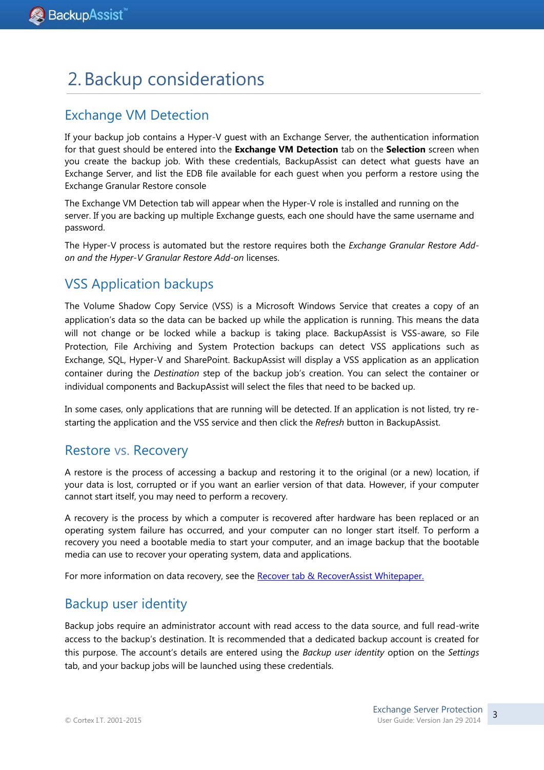# 2. Backup considerations

## <span id="page-3-0"></span>Exchange VM Detection

If your backup job contains a Hyper-V guest with an Exchange Server, the authentication information for that guest should be entered into the **Exchange VM Detection** tab on the **Selection** screen when you create the backup job. With these credentials, BackupAssist can detect what guests have an Exchange Server, and list the EDB file available for each guest when you perform a restore using the Exchange Granular Restore console

The Exchange VM Detection tab will appear when the Hyper-V role is installed and running on the server. If you are backing up multiple Exchange guests, each one should have the same username and password.

The Hyper-V process is automated but the restore requires both the *Exchange Granular Restore Addon and the Hyper-V Granular Restore Add-on* licenses.

# VSS Application backups

The Volume Shadow Copy Service (VSS) is a Microsoft Windows Service that creates a copy of an application's data so the data can be backed up while the application is running. This means the data will not change or be locked while a backup is taking place. BackupAssist is VSS-aware, so File Protection, File Archiving and System Protection backups can detect VSS applications such as Exchange, SQL, Hyper-V and SharePoint. BackupAssist will display a VSS application as an application container during the *Destination* step of the backup job's creation. You can select the container or individual components and BackupAssist will select the files that need to be backed up.

In some cases, only applications that are running will be detected. If an application is not listed, try restarting the application and the VSS service and then click the *Refresh* button in BackupAssist.

### Restore vs. Recovery

A restore is the process of accessing a backup and restoring it to the original (or a new) location, if your data is lost, corrupted or if you want an earlier version of that data. However, if your computer cannot start itself, you may need to perform a recovery.

A recovery is the process by which a computer is recovered after hardware has been replaced or an operating system failure has occurred, and your computer can no longer start itself. To perform a recovery you need a bootable media to start your computer, and an image backup that the bootable media can use to recover your operating system, data and applications.

For more information on data recovery, see the [Recover tab & RecoverAssist Whitepaper.](http://www.backupassist.com/education/whitepapers/recover_whitepaper.html)

## Backup user identity

Backup jobs require an administrator account with read access to the data source, and full read-write access to the backup's destination. It is recommended that a dedicated backup account is created for this purpose. The account's details are entered using the *Backup user identity* option on the *Settings* tab, and your backup jobs will be launched using these credentials.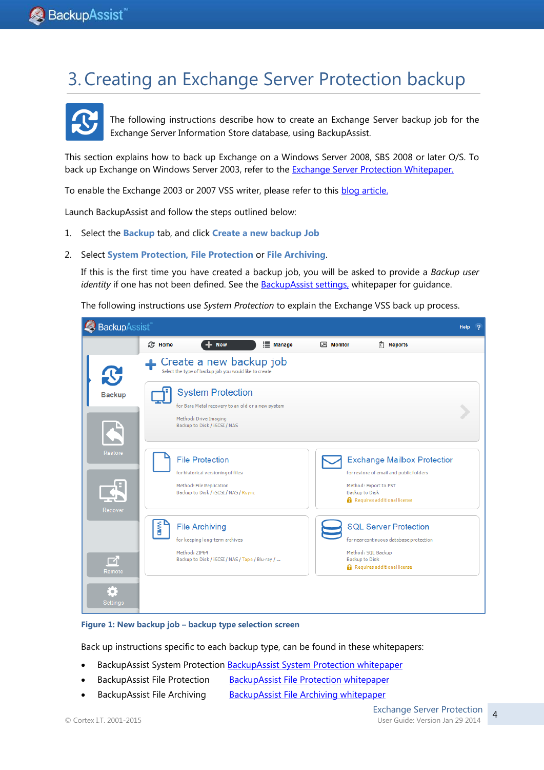# 3.Creating an Exchange Server Protection backup



The following instructions describe how to create an Exchange Server backup job for the Exchange Server Information Store database, using BackupAssist.

This section explains how to back up Exchange on a Windows Server 2008, SBS 2008 or later O/S. To back up Exchange on Windows Server 2003, refer to the [Exchange Server Protection Whitepaper.](http://www.backupassist.com/education/whitepapers/exchange_server_whitepaper.html)

To enable the Exchange 2003 or 2007 VSS writer, please refer to this **blog article**.

Launch BackupAssist and follow the steps outlined below:

- 1. Select the **Backup** tab, and click **Create a new backup Job**
- 2. Select **System Protection, File Protection** or **File Archiving**.

If this is the first time you have created a backup job, you will be asked to provide a *Backup user identity* if one has not been defined. See the **BackupAssist settings**, whitepaper for guidance.

The following instructions use *System Protection* to explain the Exchange VSS back up process.

| <b>BackupAssist</b>      |                   |                                                                                                                                        |                 |           |                                                                                                                                                               | Help |
|--------------------------|-------------------|----------------------------------------------------------------------------------------------------------------------------------------|-----------------|-----------|---------------------------------------------------------------------------------------------------------------------------------------------------------------|------|
|                          | <b>&amp;</b> Home | $+$ New                                                                                                                                | <b>E</b> Manage | 网 Monitor | 圚<br><b>Reports</b>                                                                                                                                           |      |
| $\bf G$                  |                   | Create a new backup job<br>Select the type of backup job you would like to create                                                      |                 |           |                                                                                                                                                               |      |
| <b>Backup</b>            |                   | <b>System Protection</b><br>for Bare Metal recovery to an old or a new system<br>Method: Drive Imaging<br>Backup to Disk / iSCSI / NAS |                 |           |                                                                                                                                                               |      |
| Restore<br>Recover       |                   | <b>File Protection</b><br>for historical versioning of files<br>Method: File Replication<br>Backup to Disk / iSCSI / NAS / Rsync       |                 |           | <b>Exchange Mailbox Protectior</b><br>for restore of email and publicfolders<br>Method: Export to PST<br><b>Backup to Disk</b><br>Requires additional license |      |
| $\Box$<br>Remote         | å                 | <b>File Archiving</b><br>for keeping long-term archives<br>Method: ZIP64<br>Backup to Disk / iSCSI / NAS / Tape / Blu-ray /            |                 |           | <b>SQL Server Protection</b><br>for near continuous database protection<br>Method: SQL Backup<br><b>Backup to Disk</b><br>Requires additional license         |      |
| t e t<br><b>Settings</b> |                   |                                                                                                                                        |                 |           |                                                                                                                                                               |      |

#### **Figure 1: New backup job – backup type selection screen**

Back up instructions specific to each backup type, can be found in these whitepapers:

- BackupAssist System Protection [BackupAssist System Protection whitepaper](http://www.backupassist.com/education/whitepapers/system_protection_whitepaper.html)
- BackupAssist File Protection [BackupAssist File Protection whitepaper](http://www.backupassist.com/education/whitepapers/file_protection_whitepaper.html)
- BackupAssist File Archiving [BackupAssist File Archiving whitepaper](http://www.backupassist.com/education/whitepapers/file_archiving_whitepaper.html)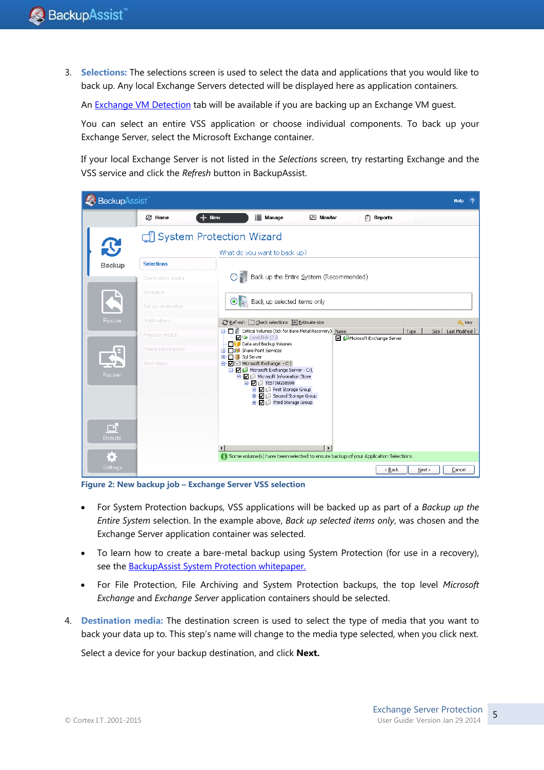3. **Selections:** The selections screen is used to select the data and applications that you would like to back up. Any local Exchange Servers detected will be displayed here as application containers.

An [Exchange VM Detection](#page-3-0) tab will be available if you are backing up an Exchange VM guest.

You can select an entire VSS application or choose individual components. To back up your Exchange Server, select the Microsoft Exchange container.

If your local Exchange Server is not listed in the *Selections* screen, try restarting Exchange and the VSS service and click the *Refresh* button in BackupAssist.

| BackupAssist<br>$\overline{\mathbf{z}}$<br><b>Help</b> |                          |                                                                                                                                                                                                            |                       |                           |                               |  |  |  |
|--------------------------------------------------------|--------------------------|------------------------------------------------------------------------------------------------------------------------------------------------------------------------------------------------------------|-----------------------|---------------------------|-------------------------------|--|--|--|
|                                                        | $+$ New<br><b>© Home</b> | <b>E</b> Manage                                                                                                                                                                                            | $M$ Monitor           | 圕<br><b>Reports</b>       |                               |  |  |  |
|                                                        |                          | System Protection Wizard                                                                                                                                                                                   |                       |                           |                               |  |  |  |
|                                                        |                          | What do you want to back up?                                                                                                                                                                               |                       |                           |                               |  |  |  |
| Backup                                                 | <b>Selections</b>        |                                                                                                                                                                                                            |                       |                           |                               |  |  |  |
|                                                        | Destination media        | Sack up the Entire System (Recommended)                                                                                                                                                                    |                       |                           |                               |  |  |  |
|                                                        | Schedule                 |                                                                                                                                                                                                            |                       |                           |                               |  |  |  |
|                                                        | Set up destination       | <b>O Back</b> up selected items only                                                                                                                                                                       |                       |                           |                               |  |  |  |
| Restore                                                | Notifications            | C' Refresh   Check selections   Estimate size                                                                                                                                                              |                       |                           | Q. Key                        |  |  |  |
|                                                        | Prepare media            | □ Critical Volumes (tick for Bare Metal Recovery)<br>$\overline{\mathbf{V}}$ Local Disk (C:)                                                                                                               | Name                  | Microsoft Exchange Server | Last Modified<br>Type<br>Size |  |  |  |
|                                                        | Name your backup         | Data and Backup Volumes<br>由 图 Share Point Services                                                                                                                                                        |                       |                           |                               |  |  |  |
|                                                        | Next steps               | <b>白 □ sql</b> Server<br>D-O Microsoft Exchange - C:\                                                                                                                                                      |                       |                           |                               |  |  |  |
| Recover                                                |                          | Microsoft Exchange Server - C:\<br><b>D</b> Microsoft Information Store<br><b>D</b> D TESTINGSBS08<br><b>E-O</b> First Storage Group<br><b>E-Q</b> Second Storage Group<br><b>i-</b> □ Third Storage Group |                       |                           |                               |  |  |  |
| $\Box$<br>Remote                                       |                          |                                                                                                                                                                                                            |                       |                           |                               |  |  |  |
| 53                                                     |                          | Some volume(s) have been selected to ensure backup of your Application Selections.                                                                                                                         | $\blacktriangleright$ |                           |                               |  |  |  |
| Settings                                               |                          |                                                                                                                                                                                                            |                       | < Back                    | Next ><br>Cancel              |  |  |  |

**Figure 2: New backup job – Exchange Server VSS selection**

- For System Protection backups, VSS applications will be backed up as part of a *Backup up the Entire System* selection. In the example above, *Back up selected items only*, was chosen and the Exchange Server application container was selected.
- To learn how to create a bare-metal backup using System Protection (for use in a recovery), see the [BackupAssist System Protection whitepaper.](http://www.backupassist.com/education/whitepapers/system_protection_whitepaper.html)
- For File Protection, File Archiving and System Protection backups, the top level *Microsoft Exchange* and *Exchange Server* application containers should be selected.
- 4. **Destination media:** The destination screen is used to select the type of media that you want to back your data up to. This step's name will change to the media type selected, when you click next.

Select a device for your backup destination, and click **Next.**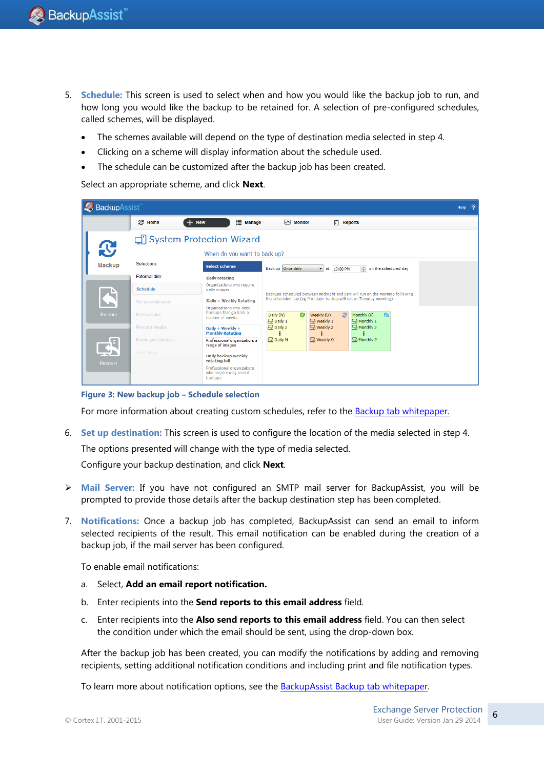- 5. **Schedule:** This screen is used to select when and how you would like the backup job to run, and how long you would like the backup to be retained for. A selection of pre-configured schedules, called schemes, will be displayed.
	- The schemes available will depend on the type of destination media selected in step 4.
	- Clicking on a scheme will display information about the schedule used.
	- The schedule can be customized after the backup job has been created.

Select an appropriate scheme, and click **Next**.

| BackupAssist <sup>®</sup> |                                      |                                                                                                                                               | <b>Help</b>                                                                                                        |                                                               |  |  |
|---------------------------|--------------------------------------|-----------------------------------------------------------------------------------------------------------------------------------------------|--------------------------------------------------------------------------------------------------------------------|---------------------------------------------------------------|--|--|
|                           | £.<br>Home                           | ≔<br><b>New</b><br><b>Manage</b>                                                                                                              | Monitor<br>$\left  \vec{z} \right $ Reports                                                                        |                                                               |  |  |
|                           | <b>C</b> il System Protection Wizard |                                                                                                                                               |                                                                                                                    |                                                               |  |  |
| $\mathbf{C}$              |                                      | When do you want to back up?                                                                                                                  |                                                                                                                    |                                                               |  |  |
| <b>Backup</b>             | Selections                           | <b>Select scheme</b>                                                                                                                          | on the scheduled day<br>Back up Once daily<br>$\blacktriangleright$ at: 10:00 PM                                   |                                                               |  |  |
|                           | <b>External disk</b>                 | <b>Daily rotating</b>                                                                                                                         |                                                                                                                    |                                                               |  |  |
|                           | <b>Schedule</b>                      | Organizations who require<br>daily images                                                                                                     | Backups scheduled between midnight and 6am will run on the morning following                                       |                                                               |  |  |
|                           | Set up destination                   | Daily + Weekly Rotating<br>Organizations who need<br>backups that go back a<br>number of weeks<br>Daily + Weekly +<br><b>Monthly Rotating</b> | the scheduled day (eq Mondays backup will run on Tuesday morning)                                                  |                                                               |  |  |
| Restore                   | <b>Notifications</b>                 |                                                                                                                                               | ு<br>Ø<br>Weekly (O)<br>Monthly (P)<br>രീ<br>Daily (N)<br>$\Box$ Daily 1<br>$\bigcap$ Weekly 1<br>$\Box$ Monthly 1 |                                                               |  |  |
|                           | Prepare media                        |                                                                                                                                               |                                                                                                                    | <b>B</b> Daily 2<br>$\bigcap$ Weekly 2<br>$\bigcap$ Monthly 2 |  |  |
|                           | Name your backup                     | Professional organizations a<br>range of images                                                                                               | $\bigcap$ Daily N<br>A Monthly P<br>$\bigcap$ Weekly 0                                                             |                                                               |  |  |
| Recover                   | Next steps                           | Daily backup weekly<br>rotating full                                                                                                          |                                                                                                                    |                                                               |  |  |
|                           |                                      | Professional organizations<br>who require only recent<br>backups                                                                              |                                                                                                                    |                                                               |  |  |

**Figure 3: New backup job – Schedule selection**

For more information about creating custom schedules, refer to the **Backup tab whitepaper**.

6. **Set up destination:** This screen is used to configure the location of the media selected in step 4.

The options presented will change with the type of media selected.

Configure your backup destination, and click **Next**.

- **Mail Server:** If you have not configured an SMTP mail server for BackupAssist, you will be prompted to provide those details after the backup destination step has been completed.
- 7. **Notifications:** Once a backup job has completed, BackupAssist can send an email to inform selected recipients of the result. This email notification can be enabled during the creation of a backup job, if the mail server has been configured.

To enable email notifications:

- a. Select, **Add an email report notification.**
- b. Enter recipients into the **Send reports to this email address** field.
- c. Enter recipients into the **Also send reports to this email address** field. You can then select the condition under which the email should be sent, using the drop-down box.

After the backup job has been created, you can modify the notifications by adding and removing recipients, setting additional notification conditions and including print and file notification types.

To learn more about notification options, see the [BackupAssist Backup tab whitepaper.](http://www.backupassist.com/education/whitepapers/backup_whitepaper.html)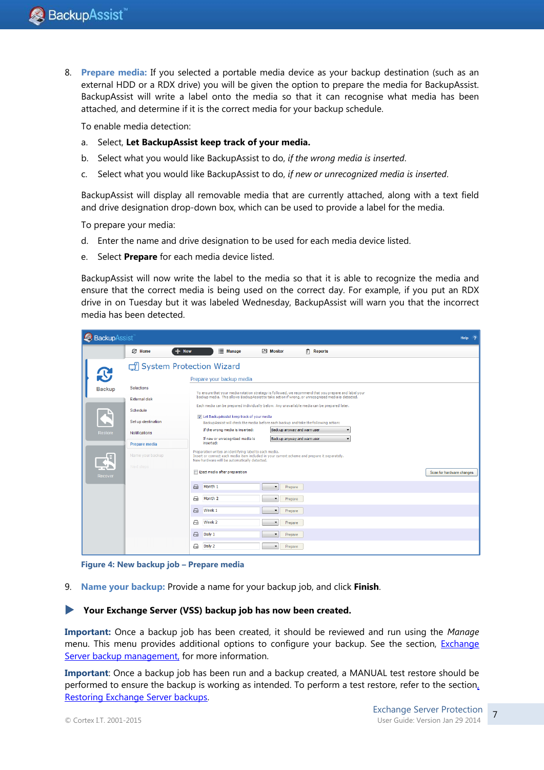8. **Prepare media:** If you selected a portable media device as your backup destination (such as an external HDD or a RDX drive) you will be given the option to prepare the media for BackupAssist. BackupAssist will write a label onto the media so that it can recognise what media has been attached, and determine if it is the correct media for your backup schedule.

To enable media detection:

- a. Select, **Let BackupAssist keep track of your media.**
- b. Select what you would like BackupAssist to do, *if the wrong media is inserted*.
- c. Select what you would like BackupAssist to do, *if new or unrecognized media is inserted*.

BackupAssist will display all removable media that are currently attached, along with a text field and drive designation drop-down box, which can be used to provide a label for the media.

To prepare your media:

- d. Enter the name and drive designation to be used for each media device listed.
- e. Select **Prepare** for each media device listed.

BackupAssist will now write the label to the media so that it is able to recognize the media and ensure that the correct media is being used on the correct day. For example, if you put an RDX drive in on Tuesday but it was labeled Wednesday, BackupAssist will warn you that the incorrect media has been detected.

| BackupAssist               |                                                       |                                                                                                                                                                                                        | <b>Help</b>               |
|----------------------------|-------------------------------------------------------|--------------------------------------------------------------------------------------------------------------------------------------------------------------------------------------------------------|---------------------------|
|                            | $+$ New<br><b>&amp;</b> Home                          | <b>E</b> Manage<br>$\left \frac{1}{x}\right $ Reports<br>Monitor                                                                                                                                       |                           |
| $\boldsymbol{\mathcal{R}}$ | System Protection Wizard<br>Prepare your backup media |                                                                                                                                                                                                        |                           |
| <b>Backup</b>              | <b>Selections</b>                                     | To ensure that your media rotation strategy is followed, we recommend that you prepare and label your                                                                                                  |                           |
|                            | <b>External disk</b>                                  | backup media. This allows BackupAssist to take action if wrong, or unrecognized media is detected.                                                                                                     |                           |
|                            | Schedule                                              | Each media can be prepared individually below. Any unavailable media can be prepared later.                                                                                                            |                           |
|                            | Set up destination<br><b>Notifications</b>            | I Let BackupAssist keep track of your media<br>BackupAssist will check the media before each backup and take the following action:                                                                     |                           |
| Restore                    |                                                       | Back up anyway and warn user<br>If the wrong media is inserted:                                                                                                                                        |                           |
|                            | Prepare media                                         | If new or unrecognized media is<br>Back up anyway and warn user<br>۰<br>inserted:                                                                                                                      |                           |
| ÁP                         | Name your backup                                      | Preparation writes an identifying label to each media.<br>Insert or connect each media item included in your current scheme and prepare it separately.<br>New hardware will be automatically detected. |                           |
| Recover                    | Next steps                                            | Eject media after preparation                                                                                                                                                                          | Scan for hardware changes |
|                            |                                                       | $\ominus$<br>Month 1<br>$\blacktriangledown$<br>Prepare                                                                                                                                                |                           |
|                            |                                                       | $\ominus$<br>Month 2<br>Prepare<br>$\blacktriangledown$                                                                                                                                                |                           |
|                            |                                                       | $\ominus$<br>Week 1<br>Prepare<br>۰                                                                                                                                                                    |                           |
|                            |                                                       | $\bigoplus$<br>Week 2<br>Prepare<br>$\cdot$                                                                                                                                                            |                           |
|                            | $\ominus$<br>Daily 1                                  | Prepare<br>$\blacktriangledown$                                                                                                                                                                        |                           |
|                            |                                                       | ⊟<br>Daily 2<br>Prepare<br>۰                                                                                                                                                                           |                           |

**Figure 4: New backup job – Prepare media** 

9. **Name your backup:** Provide a name for your backup job, and click **Finish**.

#### **Your Exchange Server (VSS) backup job has now been created.**

**Important:** Once a backup job has been created, it should be reviewed and run using the *Manage* menu. This menu provides additional options to configure your backup. See the section, *Exchange* Server [backup management,](#page-11-0) for more information.

**Important**: Once a backup job has been run and a backup created, a MANUAL test restore should be performed to ensure the backup is working as intended. To perform a test restore, refer to the section, [Restoring Exchange](#page-8-0) Server backups.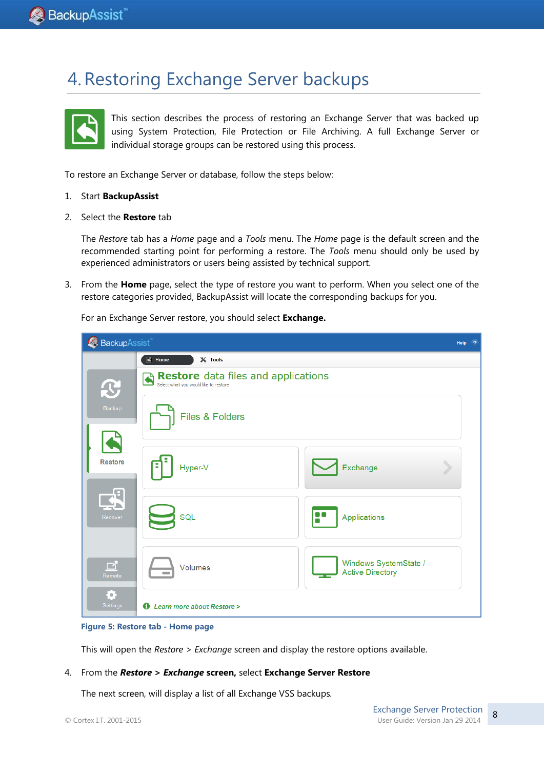# <span id="page-8-0"></span>4.Restoring Exchange Server backups



This section describes the process of restoring an Exchange Server that was backed up using System Protection, File Protection or File Archiving. A full Exchange Server or individual storage groups can be restored using this process.

To restore an Exchange Server or database, follow the steps below:

- 1. Start **BackupAssist**
- 2. Select the **Restore** tab

The *Restore* tab has a *Home* page and a *Tools* menu. The *Home* page is the default screen and the recommended starting point for performing a restore. The *Tools* menu should only be used by experienced administrators or users being assisted by technical support.

3. From the **Home** page, select the type of restore you want to perform. When you select one of the restore categories provided, BackupAssist will locate the corresponding backups for you.

For an Exchange Server restore, you should select **Exchange.**

| BackupAssist   |                                                                                                        |                                                  | Help<br>$\overline{\phantom{a}}$ |
|----------------|--------------------------------------------------------------------------------------------------------|--------------------------------------------------|----------------------------------|
|                | X Tools<br><b>R</b> Home                                                                               |                                                  |                                  |
| $\mathbf{C}$   | <b>Restore</b> data files and applications<br>$\blacklozenge$<br>Select what you would like to restore |                                                  |                                  |
| Backup         | <b>Files &amp; Folders</b>                                                                             |                                                  |                                  |
| <b>Restore</b> | Ξ<br>Hyper-V                                                                                           | Exchange                                         |                                  |
| Recover        | SQL                                                                                                    | О<br>Applications<br>п                           |                                  |
| ♂<br>Remote    | Volumes                                                                                                | Windows SystemState /<br><b>Active Directory</b> |                                  |
| 0<br>Settings  | <b>1</b> Learn more about Restore >                                                                    |                                                  |                                  |

**Figure 5: Restore tab - Home page**

This will open the *Restore > Exchange* screen and display the restore options available.

#### 4. From the *Restore* **>** *Exchange* **screen,** select **Exchange Server Restore**

The next screen, will display a list of all Exchange VSS backups*.*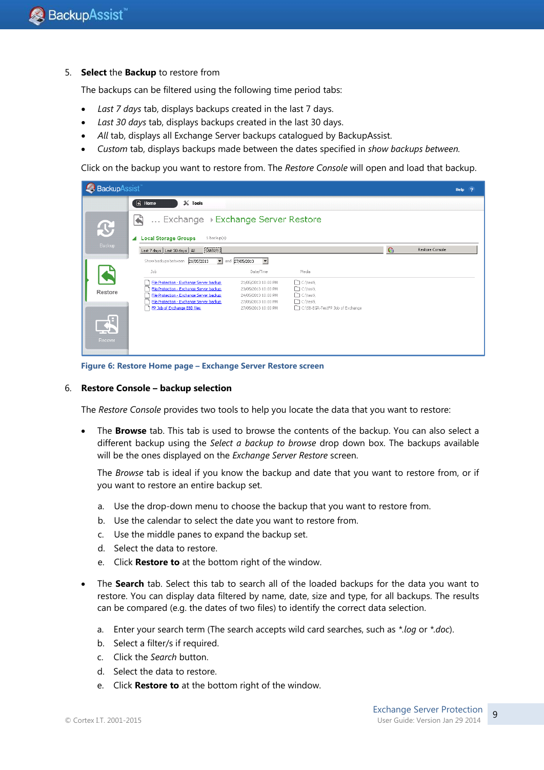5. **Select** the **Backup** to restore from

The backups can be filtered using the following time period tabs:

- *Last 7 days* tab, displays backups created in the last 7 days.
- *Last 30 days* tab, displays backups created in the last 30 days.
- *All* tab, displays all Exchange Server backups catalogued by BackupAssist.
- *Custom* tab, displays backups made between the dates specified in *show backups between.*

Click on the backup you want to restore from. The *Restore Console* will open and load that backup.

| BackupAssist               |                                                                                      |                                                                  |                                                     |              | Help $?$        |
|----------------------------|--------------------------------------------------------------------------------------|------------------------------------------------------------------|-----------------------------------------------------|--------------|-----------------|
|                            | $\mathbb{X}$ Tools<br>$\bigcirc$ Home                                                |                                                                  |                                                     |              |                 |
| $\boldsymbol{\mathcal{C}}$ | Exchange DExchange Server Restore<br>€                                               |                                                                  |                                                     |              |                 |
|                            | <b>Local Storage Groups</b><br>5 backup(s)                                           |                                                                  |                                                     |              |                 |
| Backup                     | Custom  <br>Last 7 days   Last 30 days   All                                         |                                                                  |                                                     | $\mathbf{c}$ | Restore Console |
|                            | Show backups between 21/05/2013                                                      | $\blacktriangleright$ and 27/05/2013<br>$\overline{\phantom{a}}$ |                                                     |              |                 |
|                            | Job                                                                                  | Date/Time                                                        | Media                                               |              |                 |
|                            | File Protection - Exchange Server backup<br>File Protection - Exchange Server backup | 21/05/2013 10:00 PM<br>23/05/2013 10:00 PM                       | $\Box$ C:\test\<br>□ C:\test\                       |              |                 |
| Restore                    | File Protection - Exchange Server backup                                             | 24/05/2013 10:00 PM                                              | $\Box$ C:\test\                                     |              |                 |
|                            | File Protection - Exchange Server backup<br>FP Job of Exchange EBD files             | 27/05/2013 10:00 PM<br>27/05/2013 10:00 PM                       | $\Box$ C:\test\<br>C:\SB-EGR-TestFP Job of Exchange |              |                 |
| $\mathbf{E}$<br>Recover    |                                                                                      |                                                                  |                                                     |              |                 |

**Figure 6: Restore Home page – Exchange Server Restore screen**

#### 6. **Restore Console – backup selection**

The *Restore Console* provides two tools to help you locate the data that you want to restore:

 The **Browse** tab. This tab is used to browse the contents of the backup. You can also select a different backup using the *Select a backup to browse* drop down box. The backups available will be the ones displayed on the *Exchange Server Restore* screen.

The *Browse* tab is ideal if you know the backup and date that you want to restore from, or if you want to restore an entire backup set.

- a. Use the drop-down menu to choose the backup that you want to restore from.
- b. Use the calendar to select the date you want to restore from.
- c. Use the middle panes to expand the backup set.
- d. Select the data to restore.
- e. Click **Restore to** at the bottom right of the window.
- The **Search** tab. Select this tab to search all of the loaded backups for the data you want to restore. You can display data filtered by name, date, size and type, for all backups. The results can be compared (e.g. the dates of two files) to identify the correct data selection.
	- a. Enter your search term (The search accepts wild card searches, such as *\*.log* or *\*.doc*).
	- b. Select a filter/s if required.
	- c. Click the *Search* button.
	- d. Select the data to restore.
	- e. Click **Restore to** at the bottom right of the window.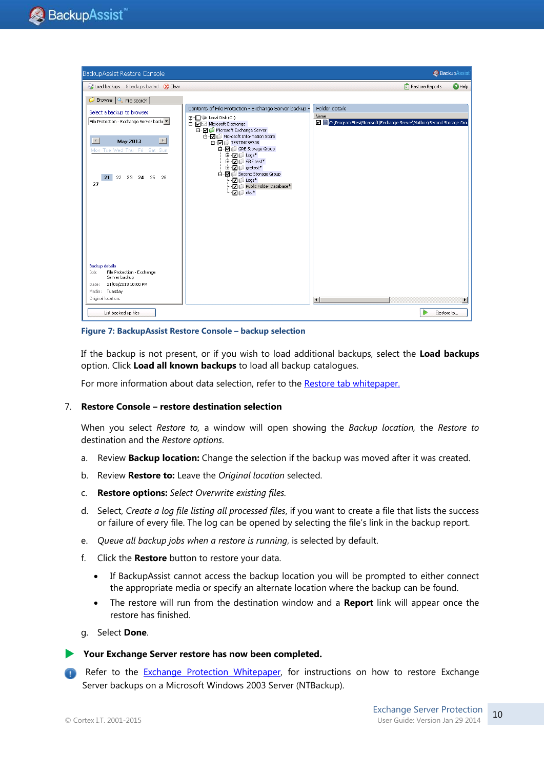

**Figure 7: BackupAssist Restore Console – backup selection**

If the backup is not present, or if you wish to load additional backups, select the **Load backups** option. Click **Load all known backups** to load all backup catalogues.

For more information about data selection, refer to the [Restore tab whitepaper.](http://www.backupassist.com/education/whitepapers/restore_whitepaper.html)

#### 7. **Restore Console – restore destination selection**

When you select *Restore to,* a window will open showing the *Backup location,* the *Restore to* destination and the *Restore options*.

- a. Review **Backup location:** Change the selection if the backup was moved after it was created.
- b. Review **Restore to:** Leave the *Original location* selected.
- c. **Restore options:** *Select Overwrite existing files.*
- d. Select, *Create a log file listing all processed files*, if you want to create a file that lists the success or failure of every file. The log can be opened by selecting the file's link in the backup report.
- e. *Queue all backup jobs when a restore is running*, is selected by default.
- f. Click the **Restore** button to restore your data.
	- If BackupAssist cannot access the backup location you will be prompted to either connect the appropriate media or specify an alternate location where the backup can be found.
	- The restore will run from the destination window and a **Report** link will appear once the restore has finished.
- g. Select **Done**.

#### **Your Exchange Server restore has now been completed.**

**Refer to the [Exchange Protection Whitepaper,](http://www.backupassist.com/education/whitepapers/exchange_protection_whitepaper.html) for instructions on how to restore Exchange** Server backups on a Microsoft Windows 2003 Server (NTBackup).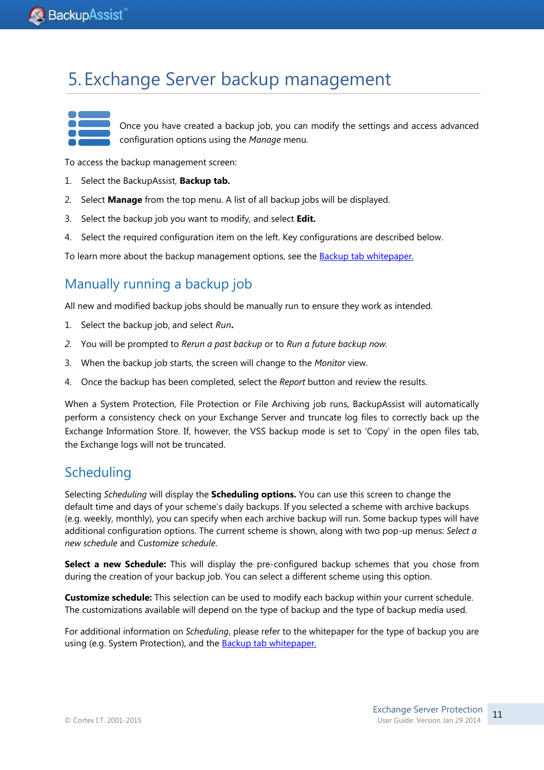# <span id="page-11-0"></span>5. Exchange Server backup management



Once you have created a backup job, you can modify the settings and access advanced configuration options using the *Manage* menu.

To access the backup management screen:

- 1. Select the BackupAssist, **Backup tab.**
- 2. Select **Manage** from the top menu. A list of all backup jobs will be displayed.
- 3. Select the backup job you want to modify, and select **Edit.**
- 4. Select the required configuration item on the left. Key configurations are described below.

To learn more about the backup management options, see the [Backup tab whitepaper.](http://www.backupassist.com/education/whitepapers/backup_whitepaper.html)

# Manually running a backup job

All new and modified backup jobs should be manually run to ensure they work as intended.

- 1. Select the backup job, and select *Run***.**
- *2.* You will be prompted to *Rerun a past backup* or to *Run a future backup now.*
- 3. When the backup job starts, the screen will change to the *Monitor* view.
- 4. Once the backup has been completed, select the *Report* button and review the results.

When a System Protection, File Protection or File Archiving job runs, BackupAssist will automatically perform a consistency check on your Exchange Server and truncate log files to correctly back up the Exchange Information Store. If, however, the VSS backup mode is set to 'Copy' in the open files tab, the Exchange logs will not be truncated.

### **Scheduling**

Selecting *Scheduling* will display the **Scheduling options.** You can use this screen to change the default time and days of your scheme's daily backups. If you selected a scheme with archive backups (e.g. weekly, monthly), you can specify when each archive backup will run. Some backup types will have additional configuration options. The current scheme is shown, along with two pop-up menus: *Select a new schedule* and *Customize schedule*.

**Select a new Schedule:** This will display the pre-configured backup schemes that you chose from during the creation of your backup job. You can select a different scheme using this option.

**Customize schedule:** This selection can be used to modify each backup within your current schedule. The customizations available will depend on the type of backup and the type of backup media used.

For additional information on *Scheduling*, please refer to the whitepaper for the type of backup you are using (e.g. System Protection), and the [Backup tab whitepaper.](http://www.backupassist.com/education/whitepapers/backup_whitepaper.html)